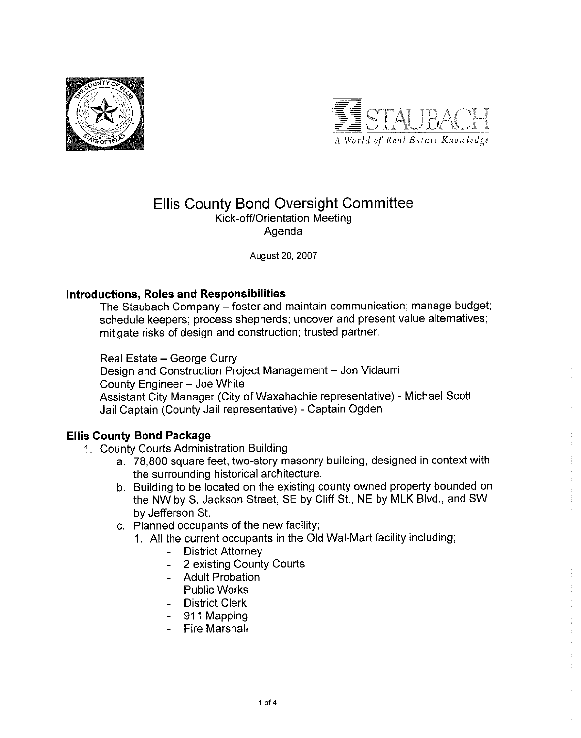



# **Ellis County Bond Oversight Committee** Kick-off/Orientation Meeting Agenda

August 20, 2007

### Introductions, Roles and Responsibilities

The Staubach Company - foster and maintain communication; manage budget; schedule keepers; process shepherds; uncover and present value alternatives; mitigate risks of design and construction; trusted partner.

Real Estate - George Curry

Design and Construction Project Management - Jon Vidaurri County Engineer - Joe White Assistant City Manager (City of Waxahachie representative) - Michael Scott Jail Captain (County Jail representative) - Captain Ogden

## **Ellis County Bond Package**

- 1. County Courts Administration Building
	- a. 78,800 square feet, two-story masonry building, designed in context with the surrounding historical architecture.
	- b. Building to be located on the existing county owned property bounded on the NW by S. Jackson Street, SE by Cliff St., NE by MLK Blvd., and SW by Jefferson St.
	- c. Planned occupants of the new facility;
		- 1. All the current occupants in the Old Wal-Mart facility including;
			- **District Attorney**
			- 2 existing County Courts  $\Delta \sim 10^4$
			- Adult Probation
			- Public Works
			- District Clerk
			- 911 Mapping
			- Fire Marshall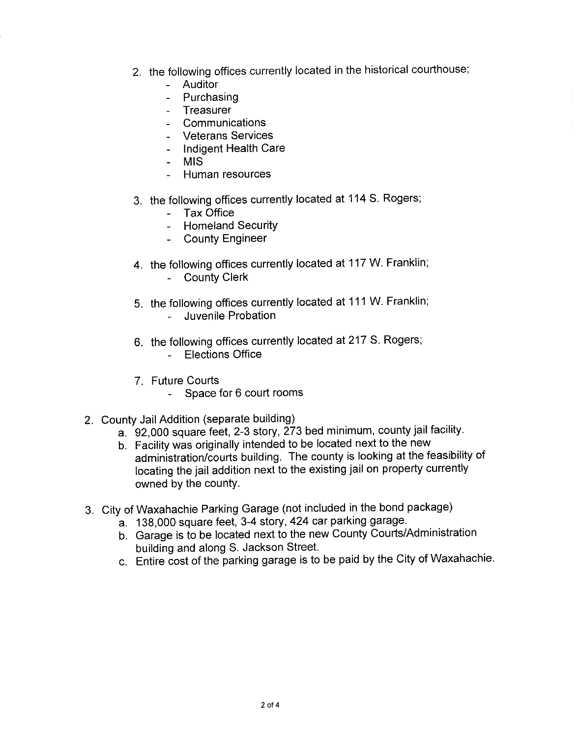- 2. the following offices currently located in the historical courthouse;
	- Auditor
	- Purchasing
	- Treasurer
	- Communications
	- Veterans Services
	- Indigent Health Care
	- MIS
	- Human resources  $\overline{a}$
- 3. the following offices currently located at 114 S. Rogers;
	- Tax Office
	- Homeland Security
	- County Engineer
- 4. the following offices currently located at 117 W. Franklin;
	- County Clerk
- 5. the following offices currently located at 111 W. Franklin;
	- Juvenile Probation  $\overline{\phantom{a}}$
- 6. the following offices currently located at 217 S. Rogers;
	- **Elections Office**  $\overline{a}$
- 7. Future Courts
	- Space for 6 court rooms  $\mathbf{u}$
- 2. County Jail Addition (separate building)
	- a. 92,000 square feet, 2-3 story, 273 bed minimum, county jail facility.
	- b. Facility was originally intended to be located next to the new
	- administration/courts building. The county is looking at the feasibility of locating the jail addition next to the existing jail on property currently owned by the county.
- 3. City of Waxahachie Parking Garage (not included in the bond package)
	- a. 138,000 square feet, 3-4 story, 424 car parking garage.
	- b. Garage is to be located next to the new County Courts/Administration building and along S. Jackson Street.
	- c. Entire cost of the parking garage is to be paid by the City of Waxahachie.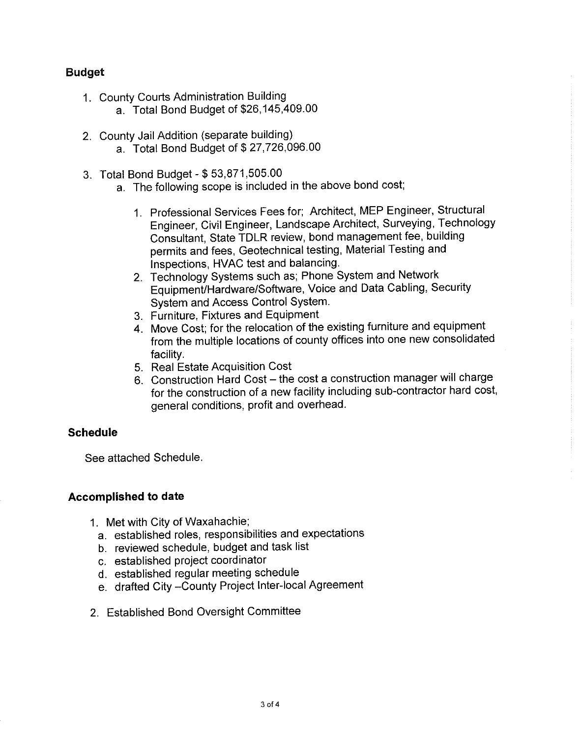## **Budget**

- 1. County Courts Administration Building
	- a. Total Bond Budget of \$26,145,409.00
- 2. County Jail Addition (separate building)
	- a. Total Bond Budget of \$27,726,096.00
- 3. Total Bond Budget \$53,871,505.00
	- a. The following scope is included in the above bond cost;
		- 1. Professional Services Fees for; Architect, MEP Engineer, Structural Engineer, Civil Engineer, Landscape Architect, Surveying, Technology Consultant, State TDLR review, bond management fee, building permits and fees. Geotechnical testing, Material Testing and Inspections, HVAC test and balancing.
		- 2. Technology Systems such as; Phone System and Network Equipment/Hardware/Software, Voice and Data Cabling, Security System and Access Control System.
		- 3. Furniture, Fixtures and Equipment
		- 4. Move Cost; for the relocation of the existing furniture and equipment from the multiple locations of county offices into one new consolidated facility.
		- 5. Real Estate Acquisition Cost
		- 6. Construction Hard Cost the cost a construction manager will charge for the construction of a new facility including sub-contractor hard cost, general conditions, profit and overhead.

## **Schedule**

See attached Schedule.

### **Accomplished to date**

- 1. Met with City of Waxahachie;
	- a. established roles, responsibilities and expectations
	- b. reviewed schedule, budget and task list
	- c. established project coordinator
	- d. established regular meeting schedule
	- e. drafted City-County Project Inter-local Agreement
- 2. Established Bond Oversight Committee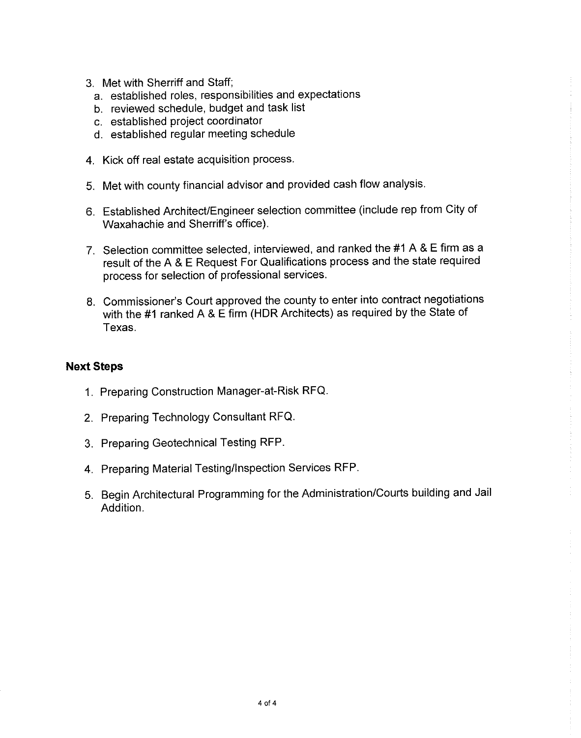- 3. Met with Sherriff and Staff:
	- a. established roles, responsibilities and expectations
	- b. reviewed schedule, budget and task list
	- c. established project coordinator
	- d. established regular meeting schedule
- 4. Kick off real estate acquisition process.
- 5. Met with county financial advisor and provided cash flow analysis.
- 6. Established Architect/Engineer selection committee (include rep from City of Waxahachie and Sherriff's office).
- 7. Selection committee selected, interviewed, and ranked the #1 A & E firm as a result of the A & E Request For Qualifications process and the state required process for selection of professional services.
- 8. Commissioner's Court approved the county to enter into contract negotiations with the #1 ranked A & E firm (HDR Architects) as required by the State of Texas.

### **Next Steps**

- 1. Preparing Construction Manager-at-Risk RFQ.
- 2. Preparing Technology Consultant RFQ.
- 3. Preparing Geotechnical Testing RFP.
- 4. Preparing Material Testing/Inspection Services RFP.
- 5. Begin Architectural Programming for the Administration/Courts building and Jail Addition.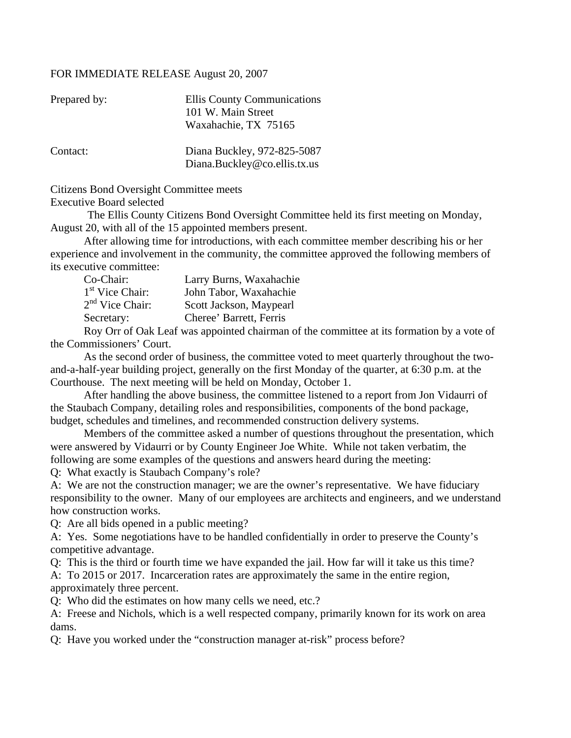#### FOR IMMEDIATE RELEASE August 20, 2007

| Prepared by: | Ellis County Communications<br>101 W. Main Street           |
|--------------|-------------------------------------------------------------|
|              | Waxahachie, TX 75165                                        |
| Contact:     | Diana Buckley, 972-825-5087<br>Diana.Buckley@co.ellis.tx.us |

Citizens Bond Oversight Committee meets

Executive Board selected

 The Ellis County Citizens Bond Oversight Committee held its first meeting on Monday, August 20, with all of the 15 appointed members present.

 After allowing time for introductions, with each committee member describing his or her experience and involvement in the community, the committee approved the following members of its executive committee:

| Co-Chair:         | Larry Burns, Waxahachie |
|-------------------|-------------------------|
| $1st$ Vice Chair: | John Tabor, Waxahachie  |
| $2nd$ Vice Chair: | Scott Jackson, Maypearl |
| Secretary:        | Cheree' Barrett, Ferris |

 Roy Orr of Oak Leaf was appointed chairman of the committee at its formation by a vote of the Commissioners' Court.

 As the second order of business, the committee voted to meet quarterly throughout the twoand-a-half-year building project, generally on the first Monday of the quarter, at 6:30 p.m. at the Courthouse. The next meeting will be held on Monday, October 1.

 After handling the above business, the committee listened to a report from Jon Vidaurri of the Staubach Company, detailing roles and responsibilities, components of the bond package, budget, schedules and timelines, and recommended construction delivery systems.

 Members of the committee asked a number of questions throughout the presentation, which were answered by Vidaurri or by County Engineer Joe White. While not taken verbatim, the following are some examples of the questions and answers heard during the meeting:

Q: What exactly is Staubach Company's role?

A: We are not the construction manager; we are the owner's representative. We have fiduciary responsibility to the owner. Many of our employees are architects and engineers, and we understand how construction works.

Q: Are all bids opened in a public meeting?

A: Yes. Some negotiations have to be handled confidentially in order to preserve the County's competitive advantage.

Q: This is the third or fourth time we have expanded the jail. How far will it take us this time?

A: To 2015 or 2017. Incarceration rates are approximately the same in the entire region, approximately three percent.

Q: Who did the estimates on how many cells we need, etc.?

A: Freese and Nichols, which is a well respected company, primarily known for its work on area dams.

Q: Have you worked under the "construction manager at-risk" process before?